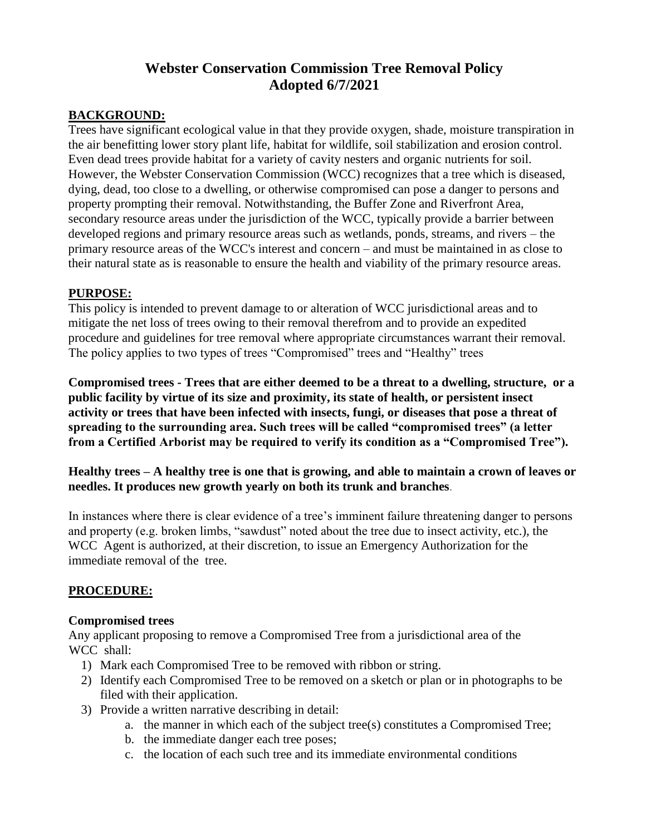# **Webster Conservation Commission Tree Removal Policy Adopted 6/7/2021**

#### **BACKGROUND:**

Trees have significant ecological value in that they provide oxygen, shade, moisture transpiration in the air benefitting lower story plant life, habitat for wildlife, soil stabilization and erosion control. Even dead trees provide habitat for a variety of cavity nesters and organic nutrients for soil. However, the Webster Conservation Commission (WCC) recognizes that a tree which is diseased, dying, dead, too close to a dwelling, or otherwise compromised can pose a danger to persons and property prompting their removal. Notwithstanding, the Buffer Zone and Riverfront Area, secondary resource areas under the jurisdiction of the WCC, typically provide a barrier between developed regions and primary resource areas such as wetlands, ponds, streams, and rivers – the primary resource areas of the WCC's interest and concern – and must be maintained in as close to their natural state as is reasonable to ensure the health and viability of the primary resource areas.

#### **PURPOSE:**

This policy is intended to prevent damage to or alteration of WCC jurisdictional areas and to mitigate the net loss of trees owing to their removal therefrom and to provide an expedited procedure and guidelines for tree removal where appropriate circumstances warrant their removal. The policy applies to two types of trees "Compromised" trees and "Healthy" trees

**Compromised trees - Trees that are either deemed to be a threat to a dwelling, structure, or a public facility by virtue of its size and proximity, its state of health, or persistent insect activity or trees that have been infected with insects, fungi, or diseases that pose a threat of spreading to the surrounding area. Such trees will be called "compromised trees" (a letter from a Certified Arborist may be required to verify its condition as a "Compromised Tree").** 

#### **Healthy trees – A healthy tree is one that is growing, and able to maintain a crown of leaves or needles. It produces new growth yearly on both its trunk and branches**.

In instances where there is clear evidence of a tree's imminent failure threatening danger to persons and property (e.g. broken limbs, "sawdust" noted about the tree due to insect activity, etc.), the WCC Agent is authorized, at their discretion, to issue an Emergency Authorization for the immediate removal of the tree.

#### **PROCEDURE:**

#### **Compromised trees**

Any applicant proposing to remove a Compromised Tree from a jurisdictional area of the WCC shall:

- 1) Mark each Compromised Tree to be removed with ribbon or string.
- 2) Identify each Compromised Tree to be removed on a sketch or plan or in photographs to be filed with their application.
- 3) Provide a written narrative describing in detail:
	- a. the manner in which each of the subject tree(s) constitutes a Compromised Tree;
	- b. the immediate danger each tree poses;
	- c. the location of each such tree and its immediate environmental conditions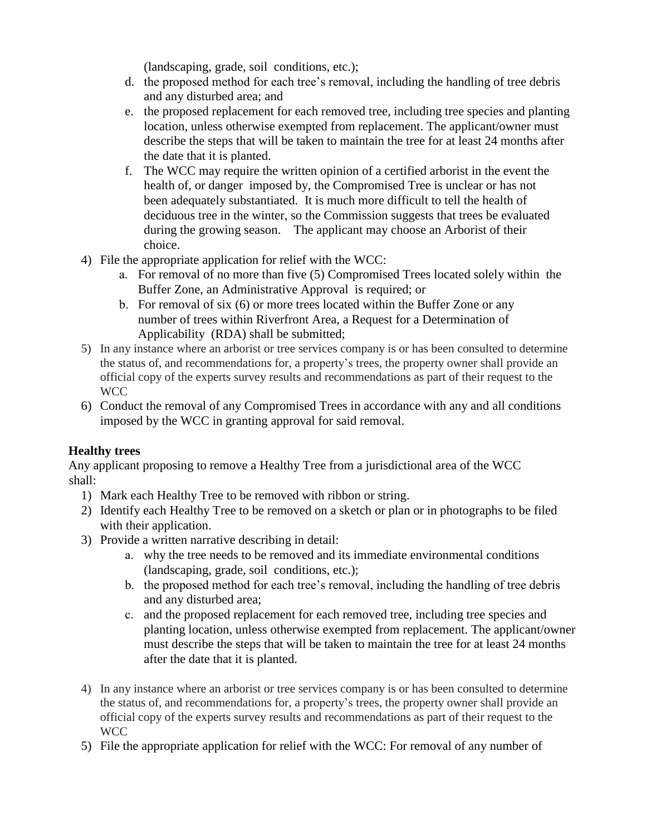(landscaping, grade, soil conditions, etc.);

- d. the proposed method for each tree's removal, including the handling of tree debris and any disturbed area; and
- e. the proposed replacement for each removed tree, including tree species and planting location, unless otherwise exempted from replacement. The applicant/owner must describe the steps that will be taken to maintain the tree for at least 24 months after the date that it is planted.
- f. The WCC may require the written opinion of a certified arborist in the event the health of, or danger imposed by, the Compromised Tree is unclear or has not been adequately substantiated. It is much more difficult to tell the health of deciduous tree in the winter, so the Commission suggests that trees be evaluated during the growing season. The applicant may choose an Arborist of their choice.
- 4) File the appropriate application for relief with the WCC:
	- a. For removal of no more than five (5) Compromised Trees located solely within the Buffer Zone, an Administrative Approval is required; or
	- b. For removal of six (6) or more trees located within the Buffer Zone or any number of trees within Riverfront Area, a Request for a Determination of Applicability (RDA) shall be submitted;
- 5) In any instance where an arborist or tree services company is or has been consulted to determine the status of, and recommendations for, a property's trees, the property owner shall provide an official copy of the experts survey results and recommendations as part of their request to the WCC
- 6) Conduct the removal of any Compromised Trees in accordance with any and all conditions imposed by the WCC in granting approval for said removal.

## **Healthy trees**

Any applicant proposing to remove a Healthy Tree from a jurisdictional area of the WCC shall:

- 1) Mark each Healthy Tree to be removed with ribbon or string.
- 2) Identify each Healthy Tree to be removed on a sketch or plan or in photographs to be filed with their application.
- 3) Provide a written narrative describing in detail:
	- a. why the tree needs to be removed and its immediate environmental conditions (landscaping, grade, soil conditions, etc.);
	- b. the proposed method for each tree's removal, including the handling of tree debris and any disturbed area;
	- c. and the proposed replacement for each removed tree, including tree species and planting location, unless otherwise exempted from replacement. The applicant/owner must describe the steps that will be taken to maintain the tree for at least 24 months after the date that it is planted.
- 4) In any instance where an arborist or tree services company is or has been consulted to determine the status of, and recommendations for, a property's trees, the property owner shall provide an official copy of the experts survey results and recommendations as part of their request to the WCC
- 5) File the appropriate application for relief with the WCC: For removal of any number of